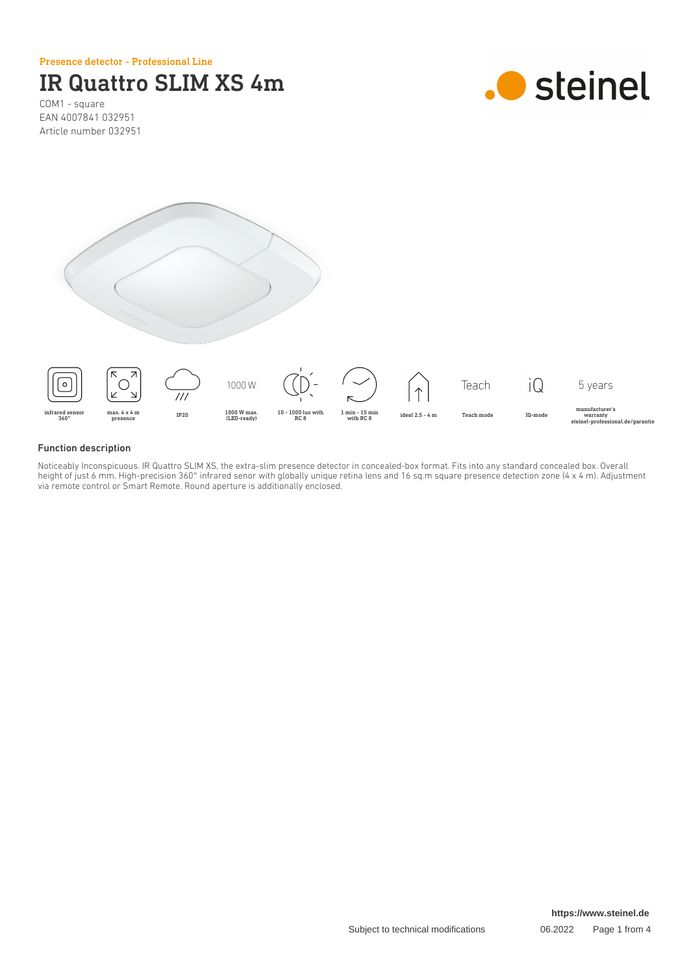Presence detector - Professional Line





COM1 - square EAN 4007841 032951 Article number 032951



### Function description

Noticeably Inconspicuous. IR Quattro SLIM XS, the extra-slim presence detector in concealed-box format. Fits into any standard concealed box. Overall height of just 6 mm. High-precision 360° infrared senor with globally unique retina lens and 16 sq.m square presence detection zone (4 x 4 m). Adjustment via remote control or Smart Remote. Round aperture is additionally enclosed.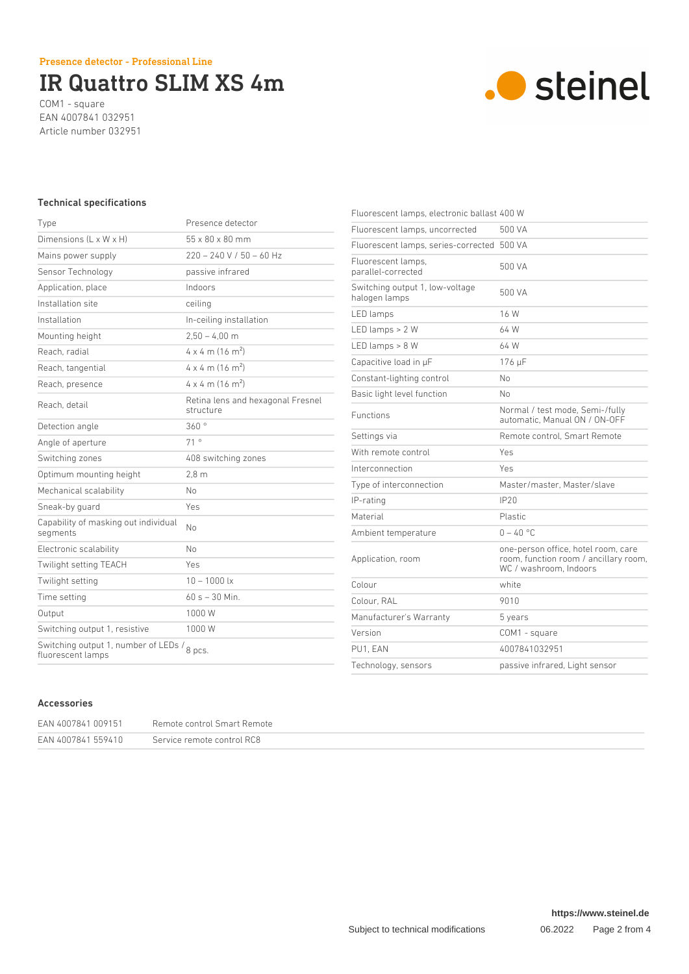IR Quattro SLIM XS 4m

.**O** steinel

COM1 - square EAN 4007841 032951 Article number 032951

# Technical specifications

| Type                                                      | Presence detector                              |
|-----------------------------------------------------------|------------------------------------------------|
| Dimensions $(L \times W \times H)$                        | $55 \times 80 \times 80$ mm                    |
| Mains power supply                                        | $220 - 240 V / 50 - 60 Hz$                     |
| Sensor Technology                                         | passive infrared                               |
| Application, place                                        | Indoors                                        |
| Installation site                                         | ceiling                                        |
| Installation                                              | In-ceiling installation                        |
| Mounting height                                           | $2,50 - 4,00$ m                                |
| Reach, radial                                             | $4 \times 4$ m (16 m <sup>2</sup> )            |
| Reach, tangential                                         | $4 \times 4$ m (16 m <sup>2</sup> )            |
| Reach, presence                                           | $4 \times 4$ m (16 m <sup>2</sup> )            |
| Reach, detail                                             | Retina lens and hexagonal Fresnel<br>structure |
| Detection angle                                           | 360°                                           |
| Angle of aperture                                         | 71°                                            |
| Switching zones                                           | 408 switching zones                            |
| Optimum mounting height                                   | 2.8 <sub>m</sub>                               |
| Mechanical scalability                                    | No                                             |
| Sneak-by quard                                            | Yes                                            |
| Capability of masking out individual<br>segments          | No                                             |
| Electronic scalability                                    | No                                             |
| Twilight setting TEACH                                    | Yes                                            |
| Twilight setting                                          | $10 - 1000$ lx                                 |
| Time setting                                              | $60 s - 30 Min.$                               |
| Output                                                    | 1000W                                          |
| Switching output 1, resistive                             | 1000W                                          |
| Switching output 1, number of LEDs /<br>fluorescent lamps | 8 pcs.                                         |

| Fluorescent lamps, electronic ballast 400 W      |                                                                                                        |
|--------------------------------------------------|--------------------------------------------------------------------------------------------------------|
| Fluorescent lamps, uncorrected                   | 500 VA                                                                                                 |
| Fluorescent lamps, series-corrected 500 VA       |                                                                                                        |
| Fluorescent lamps,<br>parallel-corrected         | 500 VA                                                                                                 |
| Switching output 1, low-voltage<br>halogen lamps | 500 VA                                                                                                 |
| LED lamps                                        | 16 W                                                                                                   |
| LED lamps $> 2 W$                                | 64 W                                                                                                   |
| LED lamps $> 8 W$                                | 64 W                                                                                                   |
| Capacitive load in µF                            | 176 µF                                                                                                 |
| Constant-lighting control                        | Nο                                                                                                     |
| Basic light level function                       | No                                                                                                     |
| <b>Functions</b>                                 | Normal / test mode, Semi-/fully<br>automatic. Manual ON / ON-OFF                                       |
| Settings via                                     | Remote control. Smart Remote                                                                           |
| With remote control                              | Yes                                                                                                    |
| Interconnection                                  | Yes                                                                                                    |
| Type of interconnection                          | Master/master. Master/slave                                                                            |
| IP-rating                                        | IP20                                                                                                   |
| Material                                         | Plastic                                                                                                |
| Ambient temperature                              | $0 - 40 °C$                                                                                            |
| Application, room                                | one-person office, hotel room, care<br>room, function room / ancillary room,<br>WC / washroom. Indoors |
| Colour                                           | white                                                                                                  |
| Colour, RAL                                      | 9010                                                                                                   |
| Manufacturer's Warranty                          | 5 years                                                                                                |
| Version                                          | COM1 - square                                                                                          |
| PU1, EAN                                         | 4007841032951                                                                                          |
| Technology, sensors                              | passive infrared, Light sensor                                                                         |

#### Accessories

| EAN 4007841 009151 | Remote control Smart Remote |
|--------------------|-----------------------------|
| EAN 4007841 559410 | Service remote control RC8  |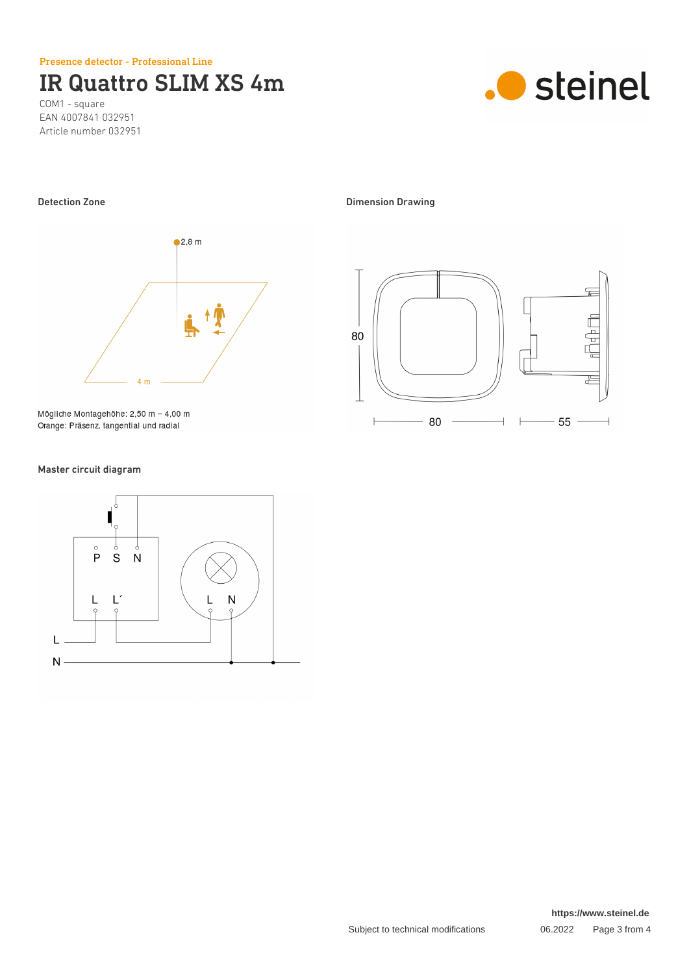Presence detector - Professional Line

IR Quattro SLIM XS 4m

COM1 - square EAN 4007841 032951 Article number 032951





Mögliche Montagehöhe:  $2,50 \text{ m} - 4,00 \text{ m}$ Orange: Präsenz, tangential und radial

## Master circuit diagram



# Detection Zone **Dimension Drawing**